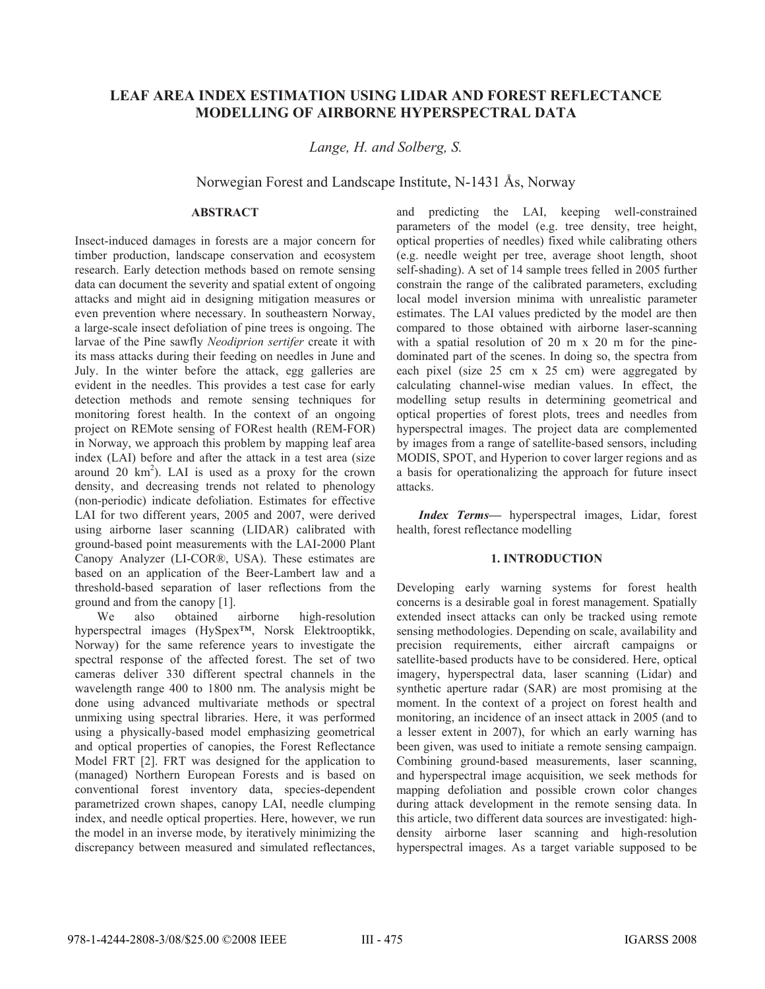# **LEAF AREA INDEX ESTIMATION USING LIDAR AND FOREST REFLECTANCE MODELLING OF AIRBORNE HYPERSPECTRAL DATA**

*Lange, H. and Solberg, S.* 

Norwegian Forest and Landscape Institute, N-1431 Ås, Norway

## **ABSTRACT**

Insect-induced damages in forests are a major concern for timber production, landscape conservation and ecosystem research. Early detection methods based on remote sensing data can document the severity and spatial extent of ongoing attacks and might aid in designing mitigation measures or even prevention where necessary. In southeastern Norway, a large-scale insect defoliation of pine trees is ongoing. The larvae of the Pine sawfly *Neodiprion sertifer* create it with its mass attacks during their feeding on needles in June and July. In the winter before the attack, egg galleries are evident in the needles. This provides a test case for early detection methods and remote sensing techniques for monitoring forest health. In the context of an ongoing project on REMote sensing of FORest health (REM-FOR) in Norway, we approach this problem by mapping leaf area index (LAI) before and after the attack in a test area (size around 20  $\text{km}^2$ ). LAI is used as a proxy for the crown density, and decreasing trends not related to phenology (non-periodic) indicate defoliation. Estimates for effective LAI for two different years, 2005 and 2007, were derived using airborne laser scanning (LIDAR) calibrated with ground-based point measurements with the LAI-2000 Plant Canopy Analyzer (LI-COR®, USA). These estimates are based on an application of the Beer-Lambert law and a threshold-based separation of laser reflections from the ground and from the canopy [1].

We also obtained airborne high-resolution hyperspectral images (HySpex™, Norsk Elektrooptikk, Norway) for the same reference years to investigate the spectral response of the affected forest. The set of two cameras deliver 330 different spectral channels in the wavelength range 400 to 1800 nm. The analysis might be done using advanced multivariate methods or spectral unmixing using spectral libraries. Here, it was performed using a physically-based model emphasizing geometrical and optical properties of canopies, the Forest Reflectance Model FRT [2]. FRT was designed for the application to (managed) Northern European Forests and is based on conventional forest inventory data, species-dependent parametrized crown shapes, canopy LAI, needle clumping index, and needle optical properties. Here, however, we run the model in an inverse mode, by iteratively minimizing the discrepancy between measured and simulated reflectances, and predicting the LAI, keeping well-constrained parameters of the model (e.g. tree density, tree height, optical properties of needles) fixed while calibrating others (e.g. needle weight per tree, average shoot length, shoot self-shading). A set of 14 sample trees felled in 2005 further constrain the range of the calibrated parameters, excluding local model inversion minima with unrealistic parameter estimates. The LAI values predicted by the model are then compared to those obtained with airborne laser-scanning with a spatial resolution of 20 m x 20 m for the pinedominated part of the scenes. In doing so, the spectra from each pixel (size 25 cm x 25 cm) were aggregated by calculating channel-wise median values. In effect, the modelling setup results in determining geometrical and optical properties of forest plots, trees and needles from hyperspectral images. The project data are complemented by images from a range of satellite-based sensors, including MODIS, SPOT, and Hyperion to cover larger regions and as a basis for operationalizing the approach for future insect attacks.

*Index Terms—* hyperspectral images, Lidar, forest health, forest reflectance modelling

## **1. INTRODUCTION**

Developing early warning systems for forest health concerns is a desirable goal in forest management. Spatially extended insect attacks can only be tracked using remote sensing methodologies. Depending on scale, availability and precision requirements, either aircraft campaigns or satellite-based products have to be considered. Here, optical imagery, hyperspectral data, laser scanning (Lidar) and synthetic aperture radar (SAR) are most promising at the moment. In the context of a project on forest health and monitoring, an incidence of an insect attack in 2005 (and to a lesser extent in 2007), for which an early warning has been given, was used to initiate a remote sensing campaign. Combining ground-based measurements, laser scanning, and hyperspectral image acquisition, we seek methods for mapping defoliation and possible crown color changes during attack development in the remote sensing data. In this article, two different data sources are investigated: highdensity airborne laser scanning and high-resolution hyperspectral images. As a target variable supposed to be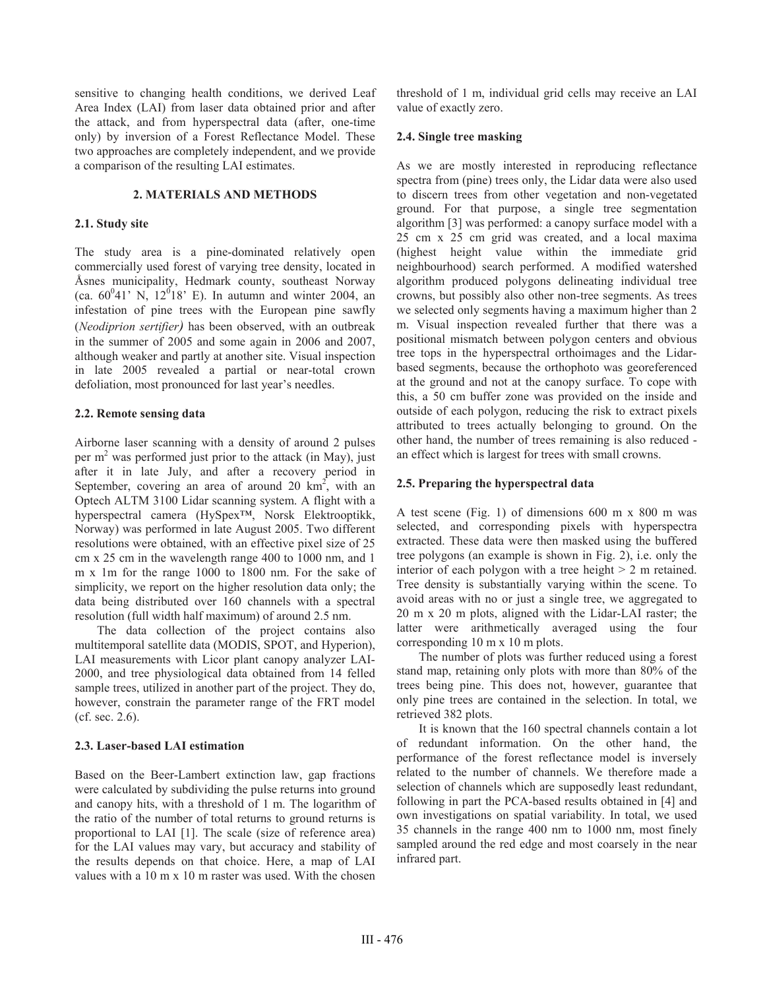sensitive to changing health conditions, we derived Leaf Area Index (LAI) from laser data obtained prior and after the attack, and from hyperspectral data (after, one-time only) by inversion of a Forest Reflectance Model. These two approaches are completely independent, and we provide a comparison of the resulting LAI estimates.

#### **2. MATERIALS AND METHODS**

#### **2.1. Study site**

The study area is a pine-dominated relatively open commercially used forest of varying tree density, located in Åsnes municipality, Hedmark county, southeast Norway (ca.  $60^041'$  N,  $12^018'$  E). In autumn and winter 2004, an infestation of pine trees with the European pine sawfly (*Neodiprion sertifier)* has been observed, with an outbreak in the summer of 2005 and some again in 2006 and 2007, although weaker and partly at another site. Visual inspection in late 2005 revealed a partial or near-total crown defoliation, most pronounced for last year's needles.

## **2.2. Remote sensing data**

Airborne laser scanning with a density of around 2 pulses per  $m<sup>2</sup>$  was performed just prior to the attack (in May), just after it in late July, and after a recovery period in September, covering an area of around 20  $\text{km}^2$ , with an Optech ALTM 3100 Lidar scanning system. A flight with a hyperspectral camera (HySpex™, Norsk Elektrooptikk, Norway) was performed in late August 2005. Two different resolutions were obtained, with an effective pixel size of 25 cm x 25 cm in the wavelength range 400 to 1000 nm, and 1 m x 1m for the range 1000 to 1800 nm. For the sake of simplicity, we report on the higher resolution data only; the data being distributed over 160 channels with a spectral resolution (full width half maximum) of around 2.5 nm.

The data collection of the project contains also multitemporal satellite data (MODIS, SPOT, and Hyperion), LAI measurements with Licor plant canopy analyzer LAI-2000, and tree physiological data obtained from 14 felled sample trees, utilized in another part of the project. They do, however, constrain the parameter range of the FRT model (cf. sec. 2.6).

## **2.3. Laser-based LAI estimation**

Based on the Beer-Lambert extinction law, gap fractions were calculated by subdividing the pulse returns into ground and canopy hits, with a threshold of 1 m. The logarithm of the ratio of the number of total returns to ground returns is proportional to LAI [1]. The scale (size of reference area) for the LAI values may vary, but accuracy and stability of the results depends on that choice. Here, a map of LAI values with a 10 m x 10 m raster was used. With the chosen

threshold of 1 m, individual grid cells may receive an LAI value of exactly zero.

#### **2.4. Single tree masking**

As we are mostly interested in reproducing reflectance spectra from (pine) trees only, the Lidar data were also used to discern trees from other vegetation and non-vegetated ground. For that purpose, a single tree segmentation algorithm [3] was performed: a canopy surface model with a 25 cm x 25 cm grid was created, and a local maxima (highest height value within the immediate grid neighbourhood) search performed. A modified watershed algorithm produced polygons delineating individual tree crowns, but possibly also other non-tree segments. As trees we selected only segments having a maximum higher than 2 m. Visual inspection revealed further that there was a positional mismatch between polygon centers and obvious tree tops in the hyperspectral orthoimages and the Lidarbased segments, because the orthophoto was georeferenced at the ground and not at the canopy surface. To cope with this, a 50 cm buffer zone was provided on the inside and outside of each polygon, reducing the risk to extract pixels attributed to trees actually belonging to ground. On the other hand, the number of trees remaining is also reduced an effect which is largest for trees with small crowns.

#### **2.5. Preparing the hyperspectral data**

A test scene (Fig. 1) of dimensions 600 m x 800 m was selected, and corresponding pixels with hyperspectra extracted. These data were then masked using the buffered tree polygons (an example is shown in Fig. 2), i.e. only the interior of each polygon with a tree height  $> 2$  m retained. Tree density is substantially varying within the scene. To avoid areas with no or just a single tree, we aggregated to 20 m x 20 m plots, aligned with the Lidar-LAI raster; the latter were arithmetically averaged using the four corresponding 10 m x 10 m plots.

The number of plots was further reduced using a forest stand map, retaining only plots with more than 80% of the trees being pine. This does not, however, guarantee that only pine trees are contained in the selection. In total, we retrieved 382 plots.

It is known that the 160 spectral channels contain a lot of redundant information. On the other hand, the performance of the forest reflectance model is inversely related to the number of channels. We therefore made a selection of channels which are supposedly least redundant, following in part the PCA-based results obtained in [4] and own investigations on spatial variability. In total, we used 35 channels in the range 400 nm to 1000 nm, most finely sampled around the red edge and most coarsely in the near infrared part.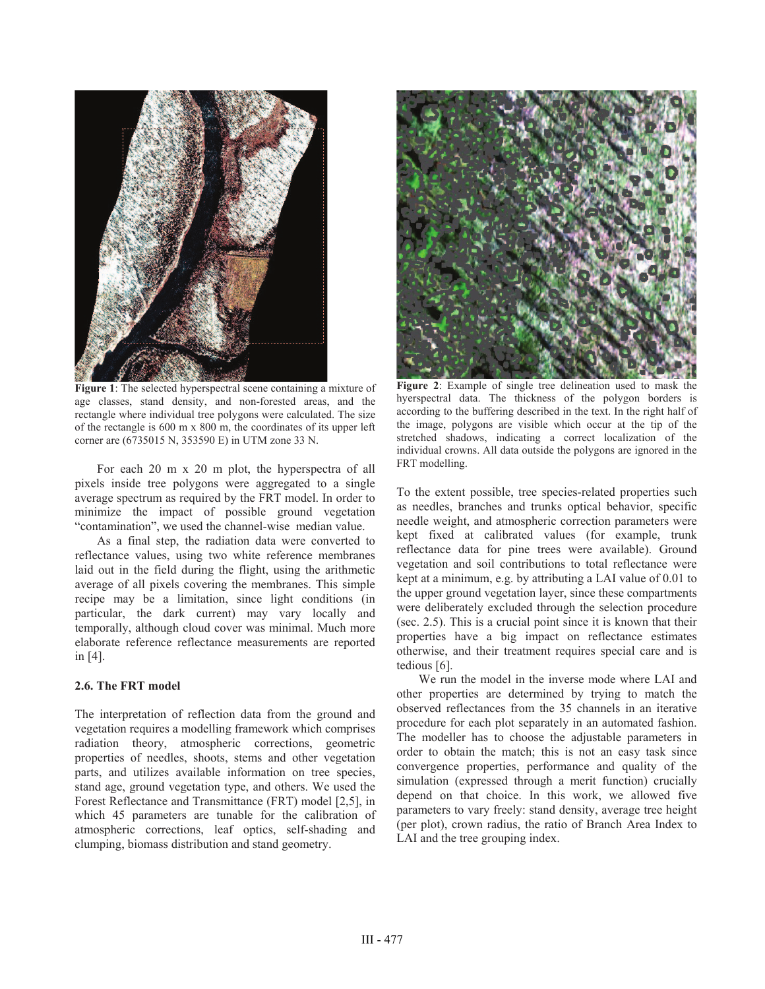

**Figure 1**: The selected hyperspectral scene containing a mixture of age classes, stand density, and non-forested areas, and the rectangle where individual tree polygons were calculated. The size of the rectangle is 600 m x 800 m, the coordinates of its upper left corner are (6735015 N, 353590 E) in UTM zone 33 N.

For each 20 m x 20 m plot, the hyperspectra of all pixels inside tree polygons were aggregated to a single average spectrum as required by the FRT model. In order to minimize the impact of possible ground vegetation "contamination", we used the channel-wise median value.

As a final step, the radiation data were converted to reflectance values, using two white reference membranes laid out in the field during the flight, using the arithmetic average of all pixels covering the membranes. This simple recipe may be a limitation, since light conditions (in particular, the dark current) may vary locally and temporally, although cloud cover was minimal. Much more elaborate reference reflectance measurements are reported in [4].

## **2.6. The FRT model**

The interpretation of reflection data from the ground and vegetation requires a modelling framework which comprises radiation theory, atmospheric corrections, geometric properties of needles, shoots, stems and other vegetation parts, and utilizes available information on tree species, stand age, ground vegetation type, and others. We used the Forest Reflectance and Transmittance (FRT) model [2,5], in which 45 parameters are tunable for the calibration of atmospheric corrections, leaf optics, self-shading and clumping, biomass distribution and stand geometry.



**Figure 2**: Example of single tree delineation used to mask the hyerspectral data. The thickness of the polygon borders is according to the buffering described in the text. In the right half of the image, polygons are visible which occur at the tip of the stretched shadows, indicating a correct localization of the individual crowns. All data outside the polygons are ignored in the FRT modelling.

To the extent possible, tree species-related properties such as needles, branches and trunks optical behavior, specific needle weight, and atmospheric correction parameters were kept fixed at calibrated values (for example, trunk reflectance data for pine trees were available). Ground vegetation and soil contributions to total reflectance were kept at a minimum, e.g. by attributing a LAI value of 0.01 to the upper ground vegetation layer, since these compartments were deliberately excluded through the selection procedure (sec. 2.5). This is a crucial point since it is known that their properties have a big impact on reflectance estimates otherwise, and their treatment requires special care and is tedious [6].

We run the model in the inverse mode where LAI and other properties are determined by trying to match the observed reflectances from the 35 channels in an iterative procedure for each plot separately in an automated fashion. The modeller has to choose the adjustable parameters in order to obtain the match; this is not an easy task since convergence properties, performance and quality of the simulation (expressed through a merit function) crucially depend on that choice. In this work, we allowed five parameters to vary freely: stand density, average tree height (per plot), crown radius, the ratio of Branch Area Index to LAI and the tree grouping index.